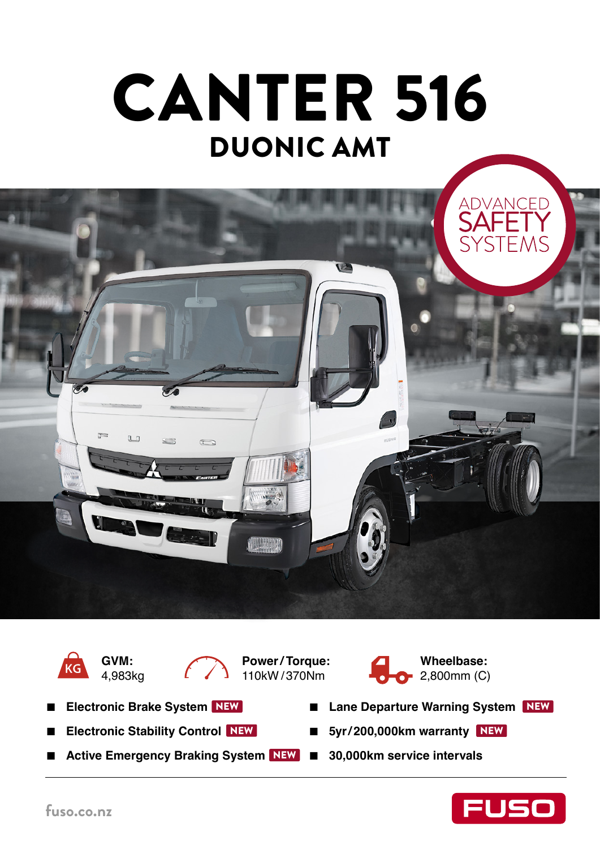











- **Electronic Brake System**
- **Electronic Stability Control** NEW
- Active Emergency Braking System NEW 30,000km service intervals
- Lane Departure Warning System NEW
- NEW 5yr/200,000km warranty NEW
	-

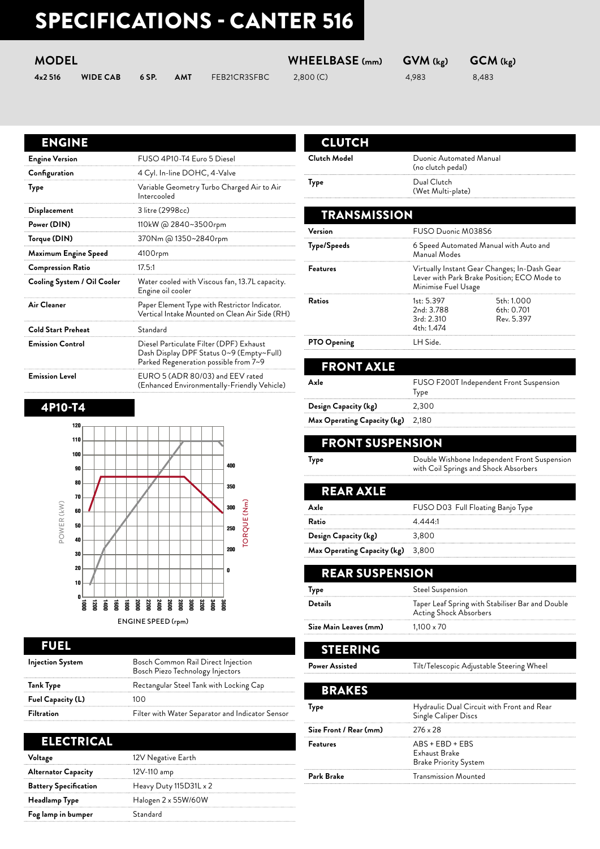# SPECIFICATIONS - CANTER 516

| <b>MODEL</b> |                 |       | WHEELBASE (mm) | $\mathsf{GVM}\left( \mathsf{k}_\mathsf{E} \right)$ | GCM (kg) |       |       |
|--------------|-----------------|-------|----------------|----------------------------------------------------|----------|-------|-------|
| 4x2 516      | <b>WIDE CAB</b> | 6 SP. | AMT            | FEB21CR3SFBC                                       | 2,800(C) | 4.983 | 8.483 |

#### ENGINE

| <b>Engine Version</b>       | FUSO 4P10-T4 Euro 5 Diesel                                                                                                   |
|-----------------------------|------------------------------------------------------------------------------------------------------------------------------|
| Configuration               | 4 Cyl. In-line DOHC, 4-Valve                                                                                                 |
| Type                        | Variable Geometry Turbo Charged Air to Air<br>Intercooled                                                                    |
| Displacement                | 3 litre (2998cc)                                                                                                             |
| Power (DIN)                 | 110kW @ 2840~3500rpm                                                                                                         |
| Torque (DIN)                | 370Nm @ 1350~2840rpm                                                                                                         |
| Maximum Engine Speed        | 4100rpm                                                                                                                      |
| <b>Compression Ratio</b>    | 17.5:1                                                                                                                       |
| Cooling System / Oil Cooler | Water cooled with Viscous fan, 13.7L capacity.<br>Engine oil cooler                                                          |
| Air Cleaner                 | Paper Element Type with Restrictor Indicator.<br>Vertical Intake Mounted on Clean Air Side (RH)                              |
| <b>Cold Start Preheat</b>   | Standard                                                                                                                     |
| <b>Emission Control</b>     | Diesel Particulate Filter (DPF) Exhaust<br>Dash Display DPF Status 0~9 (Empty~Full)<br>Parked Regeneration possible from 7~9 |
| <b>Emission Level</b>       | EURO 5 (ADR 80/03) and EEV rated<br>(Enhanced Environmentally-Friendly Vehicle)                                              |

#### 4P10-T4



#### FUEL

| <b>Injection System</b> | Bosch Common Rail Direct Injection<br>Bosch Piezo Technology Injectors |
|-------------------------|------------------------------------------------------------------------|
| Tank Type               | Rectangular Steel Tank with Locking Cap                                |
| Fuel Capacity (L)       | 10 O                                                                   |
| <b>Filtration</b>       | Filter with Water Separator and Indicator Sensor                       |

### ELECTRICAL

| Voltage                      | 12V Negative Earth     |
|------------------------------|------------------------|
| <b>Alternator Capacity</b>   | 12V-110 amp            |
| <b>Battery Specification</b> | Heavy Duty 115D31L x 2 |
| Headlamp Type                | Halogen 2 x 55W/60W    |
| Fog lamp in bumper           | Standard               |

| <b>CLUTCH</b> |                                              |
|---------------|----------------------------------------------|
| Clutch Model  | Duonic Automated Manual<br>(no clutch pedal) |
| Type          | Dual Clutch<br>(Wet Multi-plate)             |

| TRANSMISSION       |                                                      |                                                                                             |
|--------------------|------------------------------------------------------|---------------------------------------------------------------------------------------------|
| Version            | FUSO Duonic M038S6                                   |                                                                                             |
| Type/Speeds        | Manual Modes                                         | 6 Speed Automated Manual with Auto and                                                      |
| <b>Features</b>    | Minimise Fuel Usage                                  | Virtually Instant Gear Changes; In-Dash Gear<br>Lever with Park Brake Position; ECO Mode to |
| Ratios             | 1st: 5.397<br>2nd: 3.788<br>3rd: 2.310<br>4th: 1.474 | 5th: 1.000<br>6th: 0.701<br>Rev. 5.397                                                      |
| <b>PTO Opening</b> | LH Side.                                             |                                                                                             |
| <b>FRONT AXLE</b>  |                                                      |                                                                                             |
| Axle               | т                                                    | FUSO F200T Independent Front Suspension                                                     |

Type **Design Capacity (kg)** 2,300 **Max Operating Capacity (kg)** 2,180

### FRONT SUSPENSION

**Type Example 2** Double Wishbone Independent Front Suspension with Coil Springs and Shock Absorbers

| FUSO D03 Full Floating Banjo Type |
|-----------------------------------|
| 4.4441                            |
| 3,800                             |
| Max Operating Capacity (kg) 3,800 |
|                                   |

STEERING REAR SUSPENSION **Type** Steel Suspension **Details** Taper Leaf Spring with Stabiliser Bar and Double Acting Shock Absorbers **Size Main Leaves (mm)** 1,100 x 70

Power Assisted **Tilt/Telescopic Adjustable Steering Wheel** 

| <b>BRAKES</b>          |                                                                    |
|------------------------|--------------------------------------------------------------------|
| <b>Type</b>            | Hydraulic Dual Circuit with Front and Rear<br>Single Caliper Discs |
| Size Front / Rear (mm) | $276 \times 28$                                                    |
| <b>Features</b>        | $ABS + EBD + EBS$<br>Exhaust Brake<br><b>Brake Priority System</b> |
| Park Brake             | <b>Transmission Mounted</b>                                        |
|                        |                                                                    |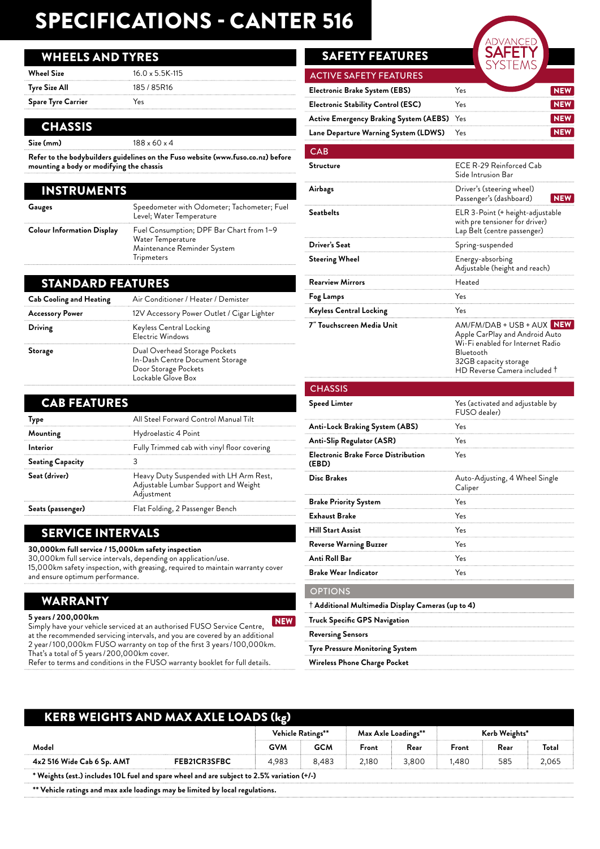## SPECIFICATIONS - CANTER 516

#### WHEELS AND TYRES

| <b>Wheel Size</b>         | $16.0 \times 5.5K - 115$ |
|---------------------------|--------------------------|
| Tyre Size All             | 185 / 85R16              |
| <b>Spare Tyre Carrier</b> | Yes                      |

#### CHASSIS

| Size (mm) | $188 \times 60 \times 4$ |
|-----------|--------------------------|
|           |                          |

**Refer to the bodybuilders guidelines on the Fuso website (www.fuso.co.nz) before mounting a body or modifying the chassis**

| INSTRUMENTS                       |                                                                                                                   |
|-----------------------------------|-------------------------------------------------------------------------------------------------------------------|
| Gauges                            | Speedometer with Odometer; Tachometer; Fuel<br>Level; Water Temperature                                           |
| <b>Colour Information Display</b> | Fuel Consumption; DPF Bar Chart from 1~9<br>Water Temperature<br>Maintenance Reminder System<br><b>Tripmeters</b> |

#### STANDARD FEATURES

| <b>Cab Cooling and Heating</b> | Air Conditioner / Heater / Demister                                                                            |
|--------------------------------|----------------------------------------------------------------------------------------------------------------|
| <b>Accessory Power</b>         | 12V Accessory Power Outlet / Cigar Lighter                                                                     |
| Driving                        | Keyless Central Locking<br><b>Electric Windows</b>                                                             |
| Storage                        | Dual Overhead Storage Pockets<br>In-Dash Centre Document Storage<br>Door Storage Pockets<br>Lockable Glove Box |

| <b>CAB FEATURES</b>     |                                                                                              |  |
|-------------------------|----------------------------------------------------------------------------------------------|--|
| Type                    | All Steel Forward Control Manual Tilt                                                        |  |
| Mounting                | Hydroelastic 4 Point                                                                         |  |
| Interior                | Fully Trimmed cab with vinyl floor covering                                                  |  |
| <b>Seating Capacity</b> |                                                                                              |  |
| Seat (driver)           | Heavy Duty Suspended with LH Arm Rest,<br>Adjustable Lumbar Support and Weight<br>Adjustment |  |
| Seats (passenger)       | Flat Folding, 2 Passenger Bench                                                              |  |

#### SERVICE INTERVALS

**30,000km full service / 15,000km safety inspection** 30,000km full service intervals, depending on application/use. 15,000km safety inspection, with greasing, required to maintain warranty cover

and ensure optimum performance.

#### WARRANTY

**5 years / 200,000km** Simply have your vehicle serviced at an authorised FUSO Service Centre, at the recommended servicing intervals, and you are covered by an additional 2 year / 100,000km FUSO warranty on top of the first 3 years / 100,000km. That's a total of 5 years / 200,000km cover. Refer to terms and conditions in the FUSO warranty booklet for full details. NEW

### **SAFETY FEATURES**

| Yes                                        |  |
|--------------------------------------------|--|
| Yes                                        |  |
| Active Emergency Braking System (AEBS) Yes |  |
| Yes                                        |  |
|                                            |  |

#### $C\Delta R$

| Structure                                                 | ECE R-29 Reinforced Cab<br>Side Intrusion Bar                                                                                                                         |
|-----------------------------------------------------------|-----------------------------------------------------------------------------------------------------------------------------------------------------------------------|
| Airbags                                                   | Driver's (steering wheel)<br>Passenger's (dashboard)<br><b>NEW</b>                                                                                                    |
| Seatbelts                                                 | ELR 3-Point (+ height-adjustable<br>with pre tensioner for driver)<br>Lap Belt (centre passenger)                                                                     |
| Driver's Seat                                             | Spring-suspended                                                                                                                                                      |
| <b>Steering Wheel</b>                                     | Energy-absorbing<br>Adjustable (height and reach)                                                                                                                     |
| <b>Rearview Mirrors</b>                                   | Heated                                                                                                                                                                |
| Fog Lamps                                                 | Yes                                                                                                                                                                   |
| <b>Keyless Central Locking</b>                            | Yes                                                                                                                                                                   |
| 7" Touchscreen Media Unit                                 | AM/FM/DAB + USB + AUX NEW<br>Apple CarPlay and Android Auto<br>Wi-Fi enabled for Internet Radio<br>Bluetooth<br>32GB capacity storage<br>HD Reverse Camera included † |
| <b>CHASSIS</b>                                            |                                                                                                                                                                       |
| Speed Limter                                              | Yes (activated and adjustable by<br>FUSO dealer)                                                                                                                      |
| Anti-Lock Braking System (ABS)                            | Yes                                                                                                                                                                   |
| Anti-Slip Regulator (ASR)                                 | Yes                                                                                                                                                                   |
| Electronic Brake Force Distribution<br>(EBD)              | Yes                                                                                                                                                                   |
| <b>Disc Brakes</b>                                        | Auto-Adjusting, 4 Wheel Single<br>Caliper                                                                                                                             |
| <b>Brake Priority System</b>                              | Yes                                                                                                                                                                   |
| <b>Exhaust Brake</b>                                      | Yes                                                                                                                                                                   |
| <b>Hill Start Assist</b>                                  | Yes                                                                                                                                                                   |
| Reverse Warning Buzzer                                    | Yes                                                                                                                                                                   |
| Anti Roll Bar                                             | Yes                                                                                                                                                                   |
| <b>Brake Wear Indicator</b>                               | Yes                                                                                                                                                                   |
| <b>OPTIONS</b>                                            |                                                                                                                                                                       |
| $\dagger$ Additional Multimedia Display Cameras (up to 4) |                                                                                                                                                                       |
| Truck Specific GPS Navigation                             |                                                                                                                                                                       |
| Reversing Sensors                                         |                                                                                                                                                                       |
| Tyre Pressure Monitoring System                           |                                                                                                                                                                       |
| Wireless Phone Charge Pocket                              |                                                                                                                                                                       |

#### KERB WEIGHTS AND MAX AXLE LOADS (kg)

|                                                                                            | Vehicle Ratings** |            |            |       | Max Axle Loadings** | Kerb Weights* |      |       |
|--------------------------------------------------------------------------------------------|-------------------|------------|------------|-------|---------------------|---------------|------|-------|
| Model                                                                                      |                   | <b>GVM</b> | <b>GCM</b> | Front | Rear                | Front         | Rear | Total |
| 4x2 516 Wide Cab 6 Sp. AMT                                                                 | FEB21CR3SFBC      | 4.983      | 8.483      | 2.180 | 3.800               | 1.480         | 585  | 2,065 |
| * Weights (est.) includes 10L fuel and spare wheel and are subject to 2.5% variation (+/-) |                   |            |            |       |                     |               |      |       |

**\*\* Vehicle ratings and max axle loadings may be limited by local regulations.**